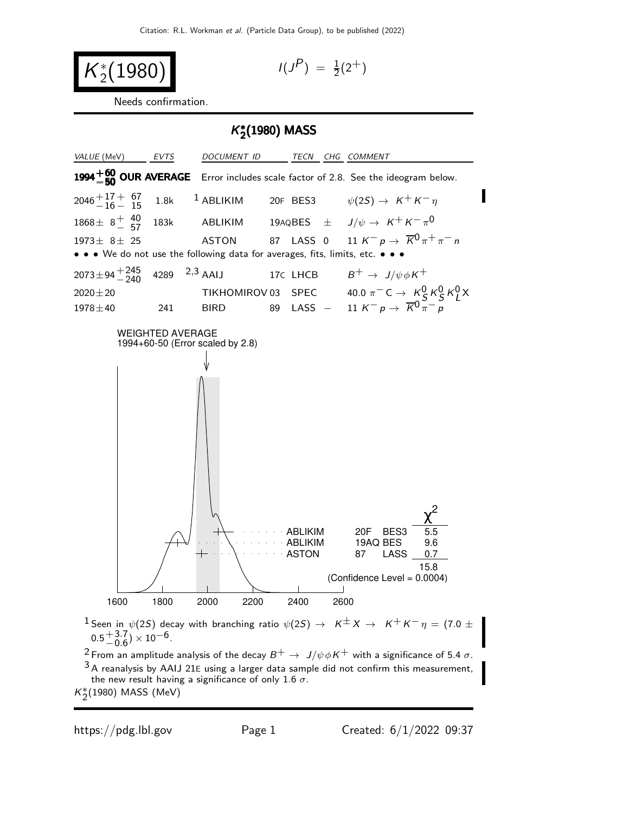$$
K_2^*(1980) \qquad \qquad \text{11}
$$

$$
I(J^P) = \frac{1}{2}(2^+)
$$

Needs confirmation.

# K ∗ 2 (1980) MASS



 $^2$  From an amplitude analysis of the decay  $B^+ \to \, J/\psi \phi \, K^+$  with a significance of 5.4  $\sigma$ .  $3A$  reanalysis by AAIJ 21E using a larger data sample did not confirm this measurement, the new result having a significance of only 1.6  $\sigma$ .

 $K_2^*(1980)$  MASS (MeV)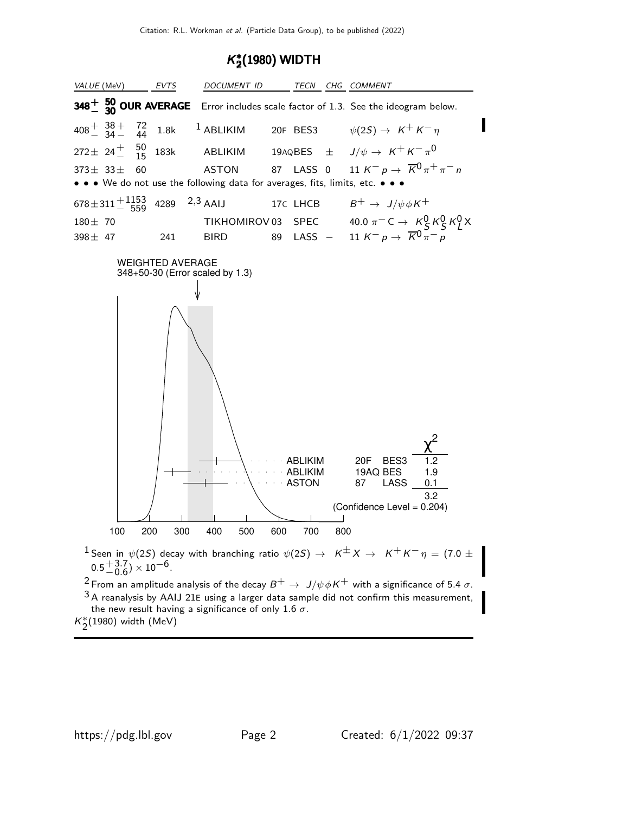# K ∗  $_2^*(1980)$  WIDTH

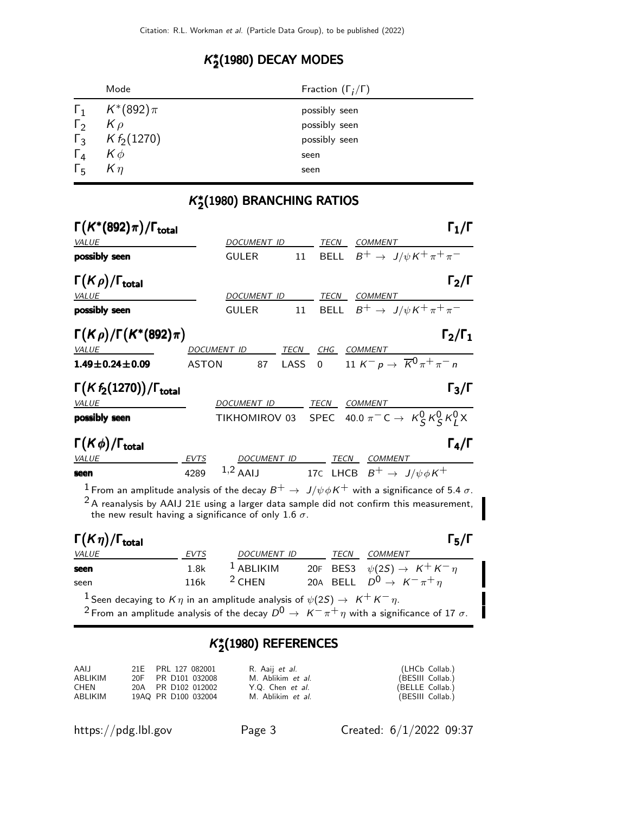# K ∗  $_2^{*}(1980)$  DECAY MODES

|                     | Mode                     | Fraction $(\Gamma_i/\Gamma)$ |
|---------------------|--------------------------|------------------------------|
|                     | $\Gamma_1$ $K^*(892)\pi$ | possibly seen                |
| $\Gamma_2$ $K \rho$ |                          | possibly seen                |
|                     | $\Gamma_3$ K $f_2(1270)$ | possibly seen                |
| $\Gamma_4$          | $K\phi$                  | seen                         |
| $\Gamma_5$ $K\eta$  |                          | seen                         |

# K ∗  $_2^\ast$ (1980) BRANCHING RATIOS

| $\Gamma(K^*(892)\pi)/\Gamma_{\rm total}$                                                                                                                                                                                                                                  |              |                      |         |          |                                                     | $\Gamma_1/\Gamma$                                                                                                                                |
|---------------------------------------------------------------------------------------------------------------------------------------------------------------------------------------------------------------------------------------------------------------------------|--------------|----------------------|---------|----------|-----------------------------------------------------|--------------------------------------------------------------------------------------------------------------------------------------------------|
| VALUE                                                                                                                                                                                                                                                                     |              | DOCUMENT ID          |         | TECN     | <b>COMMENT</b>                                      |                                                                                                                                                  |
| possibly seen                                                                                                                                                                                                                                                             |              | <b>GULER</b>         | 11      |          | BELL $B^+ \rightarrow J/\psi K^+ \pi^+ \pi^-$       |                                                                                                                                                  |
| $\Gamma(K\rho)/\Gamma_{\rm total}$                                                                                                                                                                                                                                        |              |                      |         |          |                                                     | $\Gamma_2/\Gamma$                                                                                                                                |
| VALUE                                                                                                                                                                                                                                                                     |              | DOCUMENT ID          |         |          | TECN COMMENT                                        |                                                                                                                                                  |
| possibly seen                                                                                                                                                                                                                                                             |              | <b>GULER</b>         |         |          | 11 BELL $B^+ \rightarrow J/\psi K^+ \pi^+ \pi^-$    |                                                                                                                                                  |
| $\Gamma(K\rho)/\Gamma(K^*(892)\pi)$                                                                                                                                                                                                                                       |              |                      |         |          |                                                     | $\Gamma_2/\Gamma_1$                                                                                                                              |
| VALUE                                                                                                                                                                                                                                                                     |              | DOCUMENT ID TECN CHG |         |          | COMMENT                                             |                                                                                                                                                  |
| $1.49 \pm 0.24 \pm 0.09$                                                                                                                                                                                                                                                  | <b>ASTON</b> |                      | 87 LASS |          | 0 11 $K^- p \to \overline{K}^0 \pi^+ \pi^- n$       |                                                                                                                                                  |
| $\Gamma(Kf_2(1270))/\Gamma_{\text{total}}$<br><b>VALUE</b>                                                                                                                                                                                                                |              | DOCUMENT ID          |         |          | TECN COMMENT                                        | $\Gamma_3/\Gamma$                                                                                                                                |
| possibly seen                                                                                                                                                                                                                                                             |              |                      |         |          |                                                     | TIKHOMIROV 03 SPEC 40.0 $\pi$ <sup>-</sup> C $\rightarrow$ K <sup>0</sup> <sub>S</sub> K <sup>0</sup> <sub>S</sub> K <sup>0</sup> <sub>I</sub> X |
|                                                                                                                                                                                                                                                                           |              |                      |         |          |                                                     |                                                                                                                                                  |
| $\Gamma(K\phi)/\Gamma_{\rm total}$                                                                                                                                                                                                                                        |              |                      |         |          |                                                     | $\Gamma_4/\Gamma$                                                                                                                                |
| <b>VALUE</b>                                                                                                                                                                                                                                                              | <b>EVTS</b>  | <u>DOCUMENT ID</u>   |         |          | TECN COMMENT                                        |                                                                                                                                                  |
| seen                                                                                                                                                                                                                                                                      | 4289         |                      |         |          | 1,2 AAIJ 17C LHCB $B^+ \rightarrow J/\psi \phi K^+$ |                                                                                                                                                  |
| $^1$ From an amplitude analysis of the decay $B^+ \to \ J/\psi \phi K^+$ with a significance of 5.4 $\sigma$ .<br>$2A$ reanalysis by AAIJ 21E using a larger data sample did not confirm this measurement,<br>the new result having a significance of only 1.6 $\sigma$ . |              |                      |         |          |                                                     |                                                                                                                                                  |
| $\Gamma(K\eta)/\Gamma_{\rm total}$                                                                                                                                                                                                                                        |              |                      |         |          |                                                     | $\mathsf{\Gamma}_5/\mathsf{\Gamma}$                                                                                                              |
| <b>VALUE</b>                                                                                                                                                                                                                                                              | <b>EVTS</b>  | DOCUMENT ID          |         | TECN     | COMMENT                                             |                                                                                                                                                  |
| seen                                                                                                                                                                                                                                                                      | 1.8k         | $1$ ABLIKIM          |         |          | 20F BES3 $\psi(2S) \rightarrow K^+ K^- \eta$        |                                                                                                                                                  |
| seen                                                                                                                                                                                                                                                                      | 116k         | $2$ CHEN             |         | 20A BELL | $D^0 \rightarrow K^- \pi^+ \eta$                    |                                                                                                                                                  |
|                                                                                                                                                                                                                                                                           |              |                      |         |          |                                                     |                                                                                                                                                  |

 $1$  Seen decaying to  $K\eta$  in an amplitude analysis of  $\psi(2S) \to~K^+K^-\eta.$ 

# $2$  From an amplitude analysis of the decay  $D^0 \rightarrow \overbrace{K^- \pi^+} \eta$  with a significance of 17  $\sigma$ .

# K ∗  $_2^{*}(1980)$  REFERENCES

| AAIJ    | 21E PRL 127 082001  | R. Aaij <i>et al.</i>   | (LHCb Collab.)   |
|---------|---------------------|-------------------------|------------------|
| ABLIKIM | 20F PR D101 032008  | M. Ablikim et al.       | (BESIII Collab.) |
| CHEN    | 20A PR D102 012002  | Y.Q. Chen <i>et al.</i> | (BELLE Collab.)  |
| ABLIKIM | 19AQ PR D100 032004 | M. Ablikim et al.       | (BESIII Collab.) |